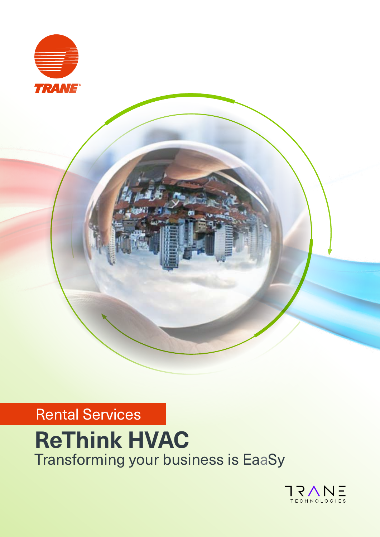

## Rental Services

# **ReThink HVAC**  Transforming your business is EaaSy

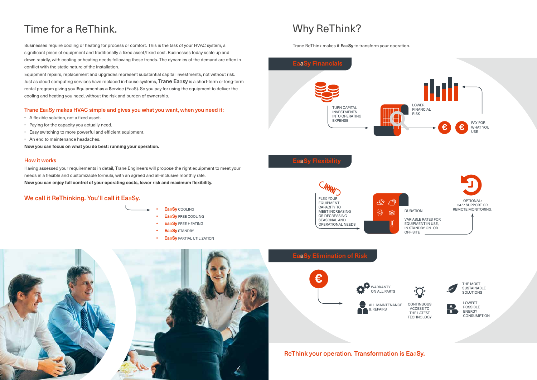## Why ReThink?

Trane ReThink makes it **EaaSy** to transform your operation.

## Time for a ReThink.

Businesses require cooling or heating for process or comfort. This is the task of your HVAC system, a significant piece of equipment and traditionally a fixed asset/fixed cost. Businesses today scale up and down rapidly, with cooling or heating needs following these trends. The dynamics of the demand are often in conflict with the static nature of the installation.

Equipment repairs, replacement and upgrades represent substantial capital investments, not without risk. Just as cloud computing services have replaced in-house systems, Trane Eaasy is a short-term or long-term rental program giving you **E**quipment **a**s **a S**ervice (EaaS). So you pay for using the equipment to deliver the cooling and heating you need, without the risk and burden of ownership.

> CONTINUOUS ACCESS TO THE LATEST **TECHNOLOGY**



## Trane EaaSy makes HVAC simple and gives you what you want, when you need it:

- A flexible solution, not a fixed asset.
- Paying for the capacity you actually need.
- Easy switching to more powerful and efficient equipment.
- An end to maintenance headaches.

**Now you can focus on what you do best: running your operation.**

#### How it works

Having assessed your requirements in detail, Trane Engineers will propose the right equipment to meet your needs in a flexible and customizable formula, with an agreed and all-inclusive monthly rate. **Now you can enjoy full control of your operating costs, lower risk and maximum flexibility.**

## We call it ReThinking. You'll call it EaaSy.

## ReThink your operation. Transformation is EaaSy.







LOWEST POSSIBLE ENERGY CONSUMPTION



THE MOST SUSTAINABLE SOLUTIONS



- **• EaaSy** COOLING
	- **• EaaSy** FREE COOLING
	- **• EaaSy** FREE HEATING
	- **• EaaSy** STANDBY
	- **• EaaSy** PARTIAL UTILIZATION

24/7 SUPPORT OR REMOTE MONITORING.